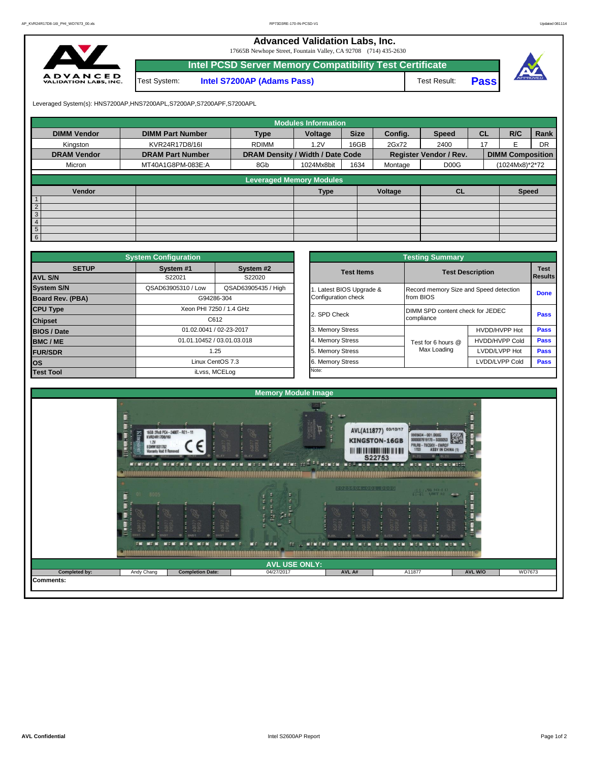**Advanced Validation Labs, Inc.** 

17665B Newhope Street, Fountain Valley, CA 92708 (714) 435-2630



|              | <b>Intel PCSD Server Memory Compatibility Test Certificate</b> |              |             |  |
|--------------|----------------------------------------------------------------|--------------|-------------|--|
| Test System: | <b>Intel S7200AP (Adams Pass)</b>                              | Test Result: | <b>Pass</b> |  |

Leveraged System(s): HNS7200AP,HNS7200APL,S7200AP,S7200APF,S7200APL

|                    |                         |                                  | <b>Modules Information</b>      |             |         |                               |           |                         |           |
|--------------------|-------------------------|----------------------------------|---------------------------------|-------------|---------|-------------------------------|-----------|-------------------------|-----------|
| <b>DIMM Vendor</b> | <b>DIMM Part Number</b> | <b>Type</b>                      | Voltage                         | <b>Size</b> | Config. | <b>Speed</b>                  | <b>CL</b> | R/C                     | Rank      |
| Kingston           | KVR24R17D8/16I          | <b>RDIMM</b>                     | 1.2V                            | 16GB        | 2Gx72   | 2400                          | 17        | E                       | <b>DR</b> |
| <b>DRAM Vendor</b> | <b>DRAM Part Number</b> | DRAM Density / Width / Date Code |                                 |             |         | <b>Register Vendor / Rev.</b> |           | <b>DIMM Composition</b> |           |
| Micron             | MT40A1G8PM-083E:A       | 8Gb                              | 1024Mx8bit                      | 1634        | Montage | D <sub>0</sub> <sub>G</sub>   |           | (1024Mx8)*2*72          |           |
|                    |                         |                                  |                                 |             |         |                               |           |                         |           |
|                    |                         |                                  | <b>Leveraged Memory Modules</b> |             |         |                               |           |                         |           |
| Vendor             |                         |                                  | Type                            |             | Voltage | <b>CL</b>                     |           | <b>Speed</b>            |           |
| $\mathbf{1}$       |                         |                                  |                                 |             |         |                               |           |                         |           |
| $\overline{2}$     |                         |                                  |                                 |             |         |                               |           |                         |           |
| 3                  |                         |                                  |                                 |             |         |                               |           |                         |           |
| $\overline{4}$     |                         |                                  |                                 |             |         |                               |           |                         |           |
| 5 <sub>5</sub>     |                         |                                  |                                 |             |         |                               |           |                         |           |
| 6                  |                         |                                  |                                 |             |         |                               |           |                         |           |

|                    | <b>System Configuration</b> |                            |                       | <b>Testing Summary</b>                 |                         |             |
|--------------------|-----------------------------|----------------------------|-----------------------|----------------------------------------|-------------------------|-------------|
| <b>SETUP</b>       | System #1                   | System #2                  | <b>Test Items</b>     |                                        | <b>Test Description</b> | <b>Test</b> |
| <b>AVL S/N</b>     | S22021                      | S22020                     |                       |                                        |                         | Results     |
| <b>System S/N</b>  | QSAD63905310 / Low          | QSAD63905435 / High        | Latest BIOS Upgrade & | Record memory Size and Speed detection |                         | <b>Done</b> |
| Board Rev. (PBA)   |                             | G94286-304                 | Configuration check   | from BIOS                              |                         |             |
| <b>CPU Type</b>    |                             | Xeon PHI 7250 / 1.4 GHz    | 2. SPD Check          | DIMM SPD content check for JEDEC       |                         | Pass        |
| <b>Chipset</b>     |                             | C612                       |                       | compliance                             |                         |             |
| <b>BIOS / Date</b> |                             | 01.02.0041 / 02-23-2017    | 3. Memory Stress      |                                        | HVDD/HVPP Hot           | <b>Pass</b> |
| <b>BMC/ME</b>      |                             | 01.01.10452 / 03.01.03.018 | 4. Memory Stress      | Test for 6 hours @                     | <b>HVDD/HVPP Cold</b>   | <b>Pass</b> |
| <b>FUR/SDR</b>     |                             | 1.25                       | 5. Memory Stress      | Max Loading                            | LVDD/LVPP Hot           | Pass        |
| <b>los</b>         |                             | Linux CentOS 7.3           | 6. Memory Stress      |                                        | LVDD/LVPP Cold          | Pass        |
| <b>Test Tool</b>   |                             | iLvss, MCELog              | Note:                 |                                        |                         |             |

|              | <b>System Configuration</b> |                            |                       | <b>Testing Summary</b>                 |                         |                |  |  |  |
|--------------|-----------------------------|----------------------------|-----------------------|----------------------------------------|-------------------------|----------------|--|--|--|
| <b>SETUP</b> | System #1                   | System #2                  | <b>Test Items</b>     |                                        | <b>Test Description</b> |                |  |  |  |
|              | S22021                      | S22020                     |                       |                                        |                         | <b>Results</b> |  |  |  |
|              | QSAD63905310 / Low          | QSAD63905435 / High        | Latest BIOS Upgrade & | Record memory Size and Speed detection |                         |                |  |  |  |
| PBA)         |                             | G94286-304                 | Configuration check   | from BIOS                              |                         |                |  |  |  |
|              |                             | Xeon PHI 7250 / 1.4 GHz    | 2. SPD Check          | DIMM SPD content check for JEDEC       |                         |                |  |  |  |
|              |                             | C612                       |                       | compliance                             |                         |                |  |  |  |
|              |                             | 01.02.0041 / 02-23-2017    | 3. Memory Stress      |                                        | HVDD/HVPP Hot           |                |  |  |  |
|              |                             | 01.01.10452 / 03.01.03.018 |                       | Test for 6 hours @                     | <b>HVDD/HVPP Cold</b>   |                |  |  |  |
|              |                             | 1.25                       | 5. Memory Stress      | Max Loading                            | LVDD/LVPP Hot           |                |  |  |  |
|              |                             | Linux CentOS 7.3           | 6. Memory Stress      |                                        | LVDD/LVPP Cold          |                |  |  |  |
|              |                             | iLvss, MCELog              | Note:                 |                                        |                         |                |  |  |  |

|                                                                                    |                                                  | <b>Memory Module Image</b>                                                |                                                                                                                 |                                                                                                                                  |                                             |               |
|------------------------------------------------------------------------------------|--------------------------------------------------|---------------------------------------------------------------------------|-----------------------------------------------------------------------------------------------------------------|----------------------------------------------------------------------------------------------------------------------------------|---------------------------------------------|---------------|
| Ĕ<br>KVR24R17D8/16I<br>1.2V<br><b>BSMM1831702</b><br><b>Warranty Void If Remov</b> | 16GB 2Rx8 PC4-2400T-RE1-11                       | NEWEREN NENERK NEN NEN NEN NEN NEEN NEN NEN KENE IS <sup>E EE</sup> NINGN | $\alpha$ as<br>AVL(A11877) 03/10/17<br><b>KINGSTON-16GB</b><br>S22753<br><b>INCREASE IN A REPORT OF A STATE</b> | 9965604 - 001.0006<br>0000007619170 - \$000053<br>PRLR8-T9CSKV-EWRDF<br>1703 ASSY IN CHI<br>8LZ0<br>BLZQ<br><b>MIN MINIMIZED</b> | <b>ASSY IN CHINA (1)</b>                    |               |
| 罩<br><b>ROOS</b><br>01<br><b>STAR</b>                                              | <b>MIN</b><br>$M \times M$<br><b>MIT IT</b><br>× | ш<br><b>MEN</b><br><b>CONTRACT METAL</b><br><b>ME</b>                     | 2025604-001-000G<br>8JDL<br><b>NET NET</b><br><b>NITH</b>                                                       | <b>ISS I VAL 34V-D ET</b><br>GRI<br>DOSR                                                                                         | <b>ABON</b><br><b>DER</b><br>$\blacksquare$ |               |
|                                                                                    |                                                  | <b>AVL USE ONLY:</b>                                                      |                                                                                                                 |                                                                                                                                  |                                             |               |
|                                                                                    |                                                  |                                                                           |                                                                                                                 | A11877                                                                                                                           | AVL W/O                                     | <b>WD7673</b> |